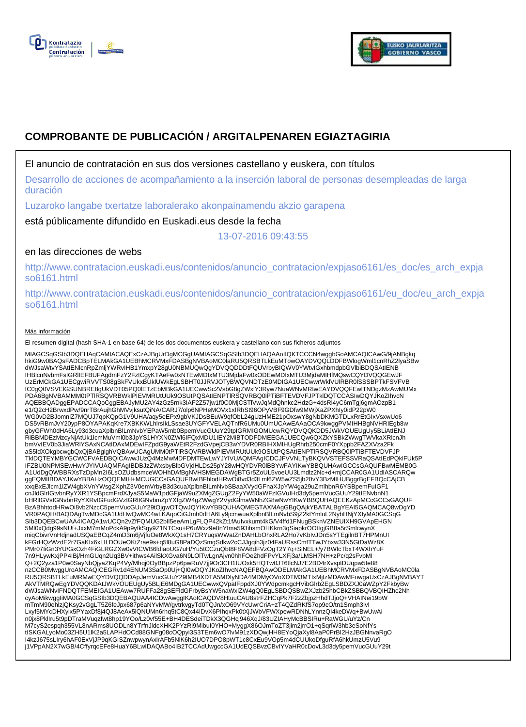



# **COMPROBANTE DE PUBLICACIÓN / ARGITALPENAREN EGIAZTAGIRIA**

## El anuncio de contratación en sus dos versiones castellano y euskera, con títulos

Desarrollo de acciones de acompañamiento a la inserción laboral de personas desempleadas de larga duración

Luzaroko langabe txertatze laboralerako akonpainamendu akzio garapena

está públicamente difundido en Euskadi.eus desde la fecha

13-07-2016 09:43:55

# en las direcciones de webs

http://www.contratacion.euskadi.eus/contenidos/anuncio\_contratacion/expjaso6161/es\_doc/es\_arch\_expja so6161.html

http://www.contratacion.euskadi.eus/contenidos/anuncio\_contratacion/expjaso6161/eu\_doc/eu\_arch\_expja so6161.html

### Más información

El resumen digital (hash SHA-1 en base 64) de los dos documentos euskera y castellano con sus ficheros adjuntos

MIAGCSqGSIb3DQEHAqCAMIACAQExCzAJBgUrDgMCGgUAMIAGCSqGSIb3DQEHAQAAoIIQKTCCCN4wggbGoAMCAQICAwG/9jANBgkq hkiG9w0BAQsFADCBpTELMAkGA1UEBhMCRVMxFDASBgNVBAoMC0laRU5QRSBTLkEuMTowOAYDVQQLDDFBWlogWml1cnRhZ2lyaSBw dWJsaWtvYSAtIENlcnRpZmljYWRvIHB1YmxpY28gU0NBMUQwQgYDVQQDDDtFQUVrbyBIQWV0YWtvIGxhbmdpbGVlbiBDQSAtIENB IHBlcnNvbmFsIGRlIEFBUFAgdmFzY2FzICgyKTAeFw0xNTEwMDIxMTU3MjdaFw0xODEwMDIxMTU3MjdaMIHfMQswCQYDVQQGEwJF UzErMCkGA1UECgwiRVVTS08gSkFVUkxBUklUWkEgLSBHT0JJRVJOTyBWQVNDTzE0MDIGA1UECwwrWklVUlRBR0lSSSBPTkFSVFVB IC0gQ0VSVEIGSUNBRE8gUkVDT05PQ0IETzEbMBkGA1UECwwSc2VsbG8gZWxIY3Ryw7NuaWNvMRIwEAYDVQQFEwITNDgzMzAwMUMx<br>PDA6BgNVBAMMM0tPTIRSQVRBWkIPIEVMRUtUUk9OSUtPQSAtIENPTIRSQVRBQ0IPTiBFTEVDVFJPTkIDQTCCASIwDQYJKoZIhvcN AQEBBQADggEPADCCAQoCggEBAJyMU2AY4zGz5rnk3IAF2Z57jw1f0C0MjCSTlVwJqMdQhnkc2HdzG+4dsRl4yC6mTgj6gmAOzpB1 e1/Q2cH2BrwxdPw/9nrTBrAujhGhMVvjksutQiNA/CARJ7/olp6NPHeMOVx1xfRhSt96OPyVBF9GDfw9MWjXaZPXhIy0idP22pW0 WG0vD2BJomnlZ7MQUJ7qpKQpG1V9UHA/aqy5eEPx9gbVKJDsBEuW9qfObL24gUzHME21pOxswY8gNbDKMGTDLxRrEtGIxVsxwUo6 DS5vRBmJvY20ypP8OYAPAKqKre7XBKKWLhlrsIkLSsae3UYGFYVELAQTnfR6UMu0UmUCAwEAAaOCA9kwggPVMIHHBgNVHRIEgb8w gbyGFWh0dHA6Ly93d3cuaXplbnBlLmNvbYEPaW5mb0BpemVucGUuY29tpIGRMIGOMUcwRQYDVQQKDD5JWkVOUEUgUy5BLiAtIENJ<br>RiBBMDEzMzcyNjAtUk1lcmMuVml0b3JpYS1HYXN0ZWI6IFQxMDU1IEY2MiBTODFDMEEGA1UECQw6QXZkYSBkZWwgTWVkaXRlcnJh bmVvIEV0b3JiaWRIYSAxNCAtIDAxMDEwIFZpdG9yaWEtR2FzdGVpejCB3wYDVR0RBIHXMIHUgRhrb250cmF0YXppb2FAZXVza2Fk<br>aS5ldXOkgbcwgbQxQjBABglghVQBAwUCAgUMM0tPTIRSQVRBWkIPIEVMRUtUUk9OSUtPQSAtIENPTIRSQVRBQ0IPTiBFTEVDVFJP TklDQTEYMBYGCWCFVAEDBQICAwwJUzQ4MzMwMDFDMTEwLwYJYIVUAQMFAgICDCJFVVNLTyBKQVVSTEFSSVRaQSAtIEdPQklFUk5P IFZBU0NPMSEwHwYJYIVUAQMFAgIBDBJzZWxsbyBlbGVjdHLDs25pY28wHQYDVR0lBBYwFAYIKwYBBQUHAwIGCCsGAQUFBwMEMB0G A1UdDgQWBBRXsTzDpMn2I6LsOZUdbsmceWOHhDAfBgNVHSMEGDAWgBTGr5ZoUL5voeUU3Lmdlz2Nc+d+mjCCAR0GA1UdIASCARQw ggEQMIIBDAYJKwYBBAHzOQQEMIH+MCUGCCsGAQUFBwIBFhlodHRwOi8vd3d3Lml6ZW5wZS5jb20vY3BzMIHUBggrBgEFBQcCAjCB xxqBxEJlcm1lZW4gbXVnYWsgZXphZ3V0emVrbyB3d3cuaXplbnBlLmNvbSBaaXVydGFnaXJpYW4ga29uZmlhbnR6YSBpemFuIGF1 cnJldGlrIGtvbnRyYXR1YSBpcmFrdXJyaS5MaW1pdGFjaW9uZXMgZGUgZ2FyYW50aWFzIGVuIHd3dy5pemVucGUuY29tIENvbnN1 bHRIIGVsIGNvbnRyYXRvIGFudGVzIGRIIGNvbmZpYXIgZW4gZWwgY2VydGlmaWNhZG8wNwYIKwYBBQUHAQEEKzApMCcGCCsGAQUF<br>BzABhhtodHRwOi8vb2NzcC5pemVucGUuY29tOjgwOTQwJQYIKwYBBQUHAQMEGTAXMAgGBgQAjkYBATALBgYEAI5GAQMCAQ8wDgYD VR0PAQH/BAQDAgTwMDcGA1UdHwQwMC4wLKAqoCiGJmh0dHA6Ly9jcmwuaXplbnBlLmNvbS9jZ2ktYmluL2NybHNjYXIyMA0GCSqG<br>SIb3DQEBCwUAA4ICAQA1wUCQn2vZfFQMUG2bll5eeAmLgFLQP42kZt1fAuIvxkumt4kG/V4ffd1FNugBSknVZNEUIXH9GVApEHGN 5Ml0xQdg99sNUf+JxxM7mMoPckA9p9yfkSgy9Z1NTCsu+P6uWxz9e8nYIma593ihsmOHKkrn3qSiapkrOOtIgjGB8a5rSmlcwynX miqCbivrVnHdjnadUSQaEBCqZ4mD3m6jVjfuOe8WkXQ1sH7CRYuqsWWatZnDAHLbOhxRLA2Ho7vKbIvJDn5sYTEgilnBT7HPMnUI kFGrHQzWzdE2r7GaKIx6xLILDOUeOKtZrae9s+q5l8uG8PaDQzSmgSdkw2cCJJgqih3jz04FaURssCmfTTwJYbxw33N5GtDaWz8X PMr07IiGn3YU/GxOzh4FiGLRGZXw0vVICWB6ldIaoUG7uH/Yu5tCCzuQbt8F8VA8dFVzOgT2Y7q+SiNEL+/y7BWfcTbxT4WXhYuF 7n9HLywKxjPP4IBj/HmGUqn2Uq3BV+ithws4AilSkXGva6N9LOlTwLgnAjvn0hhFOe2hdFPvYLXFj3a/LMSH7NH+zPc/q2sFvbMl<br>Q+2Q2yza1P0w0SayNbQjyaZKqP4Vy/Mhqj0OyBBpzPp6pwRuV7jj9Or3CH1fUOxk5HQTw0JT6tlcNJ7E2BD4rXvsptDUqpw5te88 nzCCB0MwggUroAMCAQICEGRv1d4ENUM3SaOp0Uj+QI0wDQYJKoZIhvcNAQEFBQAwODELMAkGA1UEBhMCRVMxFDASBgNVBAoMC0la RU5QRSBTLkEuMRMwEQYDVQQDDApJemVucGUuY29tMB4XDTA5MDIyNDA4MDMyOVoXDTM3MTIxMjIzMDAwMFowgaUxCzAJBgNVBAYT AkVTMRQwEgYDVQQKDAtJWkVOUEUgUy5BLjE6MDgGA1UECwwxQVpaIFppdXJ0YWdpcmkgcHVibGlrb2EgLSBDZXJ0aWZpY2FkbyBw dWJsaWNvIFNDQTFEMEIGA1UEAww7RUFFa28gSEFldGFrbyBsYW5naWxlZW4gQ0EgLSBDQSBwZXJzb25hbCBkZSBBQVBQIHZhc2Nh cyAoMikwggIiMA0GCSqGSIb3DQEBAQUAA4ICDwAwggIKAoICAQDV8HtuuCAU8strFZHCqPk7F2zZbjpzHhdTJjoQ+VHAINei19bW mTmM90ehlzjQKsy2vGgLT5Z6feJpx687p6aNYvMW/gvtrkvgyTd0TQJn/xO69VYcUwrCriA+zT4QZdRKfS7op9cO/tn1Smph3Ivl Lxyf5MYcDHXyix5PYaxDf8j4QJ8AeAx5lQNUMn6rhq5tC8Qx44IDvX6PIhqxPk0tXjJWbVFWXpewRDNhLYnnzQl4keDWq+BwUwAi<br>n0jx8PkIIru5t9pDTraMVuqzfwt8hp19YOo/Lz0vf55E+BH4DESdeiTDkX3QGHcj946XqJ/83UZIAHyMcBBSIRu+RaWGU/uYz/Cn M7cyS2espqh355VL8nARms8UODLn8YTrfnJldcXHK2PYzRi9MibuI0YHO+MyggX86OJmToZT3jim2jrrO1+qSqrlW3hb3eSoNfYs<br>tISKGALyoMo03ZH5U1IK2a5LAPHdOCd88GNFg08cOQpyi3S3TEm6wO7lvM91zXDQwjHH8EYoQjaXyl8AaP0PrBI2HzJBGNnvaRgO I4kzJ675sLIry6hAF0ExVjJP9qKGISZnwpwynAxlrAFb5NlK6h2IUO7DPO8pWT1c8CxEu9VOp5m4dCUUkoDfguRfA6hkUmzU5Vu9 j1VPpAN2X7wGB/4CffyrqcEFe8HuaY6BLwIDAQABo4IB2TCCAdUwgccGA1UdEQSBvzCBvIYVaHR0cDovL3d3dy5pemVucGUuY29t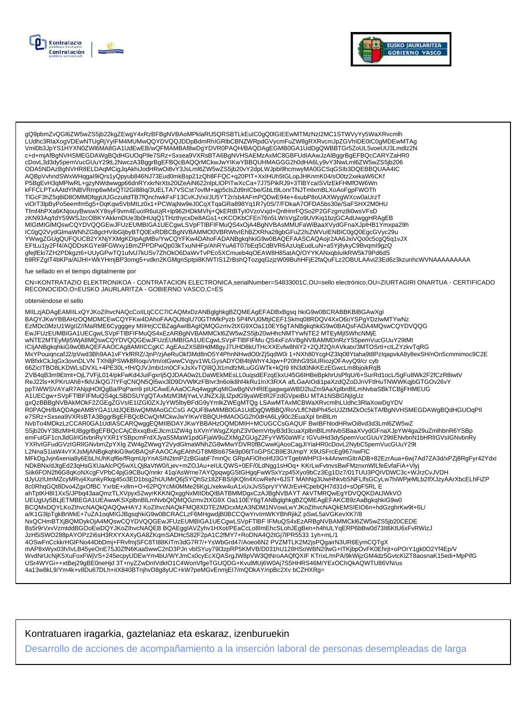



gQ9pbmZvQGl6ZW5wZS5jb22kgZEwgY4xRzBFBgNVBAoMPklaRU5QRSBTLkEuIC0gQ0IGIEEwMTMzNzI2MC1STWVyYy5WaXRvcmlh \_<br>LUdhc3RlaXoqVDEwNTUqRjYyIFM4MUMwQQYDVQQJDDpBdmRhIGRlbCBNZWRpdGVycmFuZW8qRXRvcmJpZGVhIDE0IC0qMDEwMTAq Vml0b3JpYS1HYXN0ZWl6MA8GA1UdEwEB/wQFMAMBAf8wDgYDVR0PAQH/BAQDAgEGMB0GA1UdDgQWBBTGr5ZoUL5voeUU3Lmdlz2N c+d+mjAfBgNVHSMEGDAWgBQdHGUOqPlle7SRz+Sxsea9VXRsBTA6BgNVHSAEMzAxMC8GBFUdIAAwJzAlBggrBgEFBQcCARYZaHR0 cDovL3d3dy5pemVucGUuY29tL2NwczA3BggrBgEFBQcBAQQrMCkwJwYIKwYBBQUHMAGGG2h0dHA6Ly9vY3NwLml6ZW5wZS5jb206 ODA5NDAzBgNVHR8ELDAqMCigJqAkhiJodHRwOi8vY3JsLml6ZW5wZS5jb20vY2dpLWJpbi9hcmwyMA0GCSqGSlb3DQEBBQUAA4IC AQBpVvhndSWxWHqgal9iQrs1yQpyub846NJ73Eud0mkBsp21zQh8FFQC+q20PIT+XxIHUh5tGLopJHKnmK04/sO0tz2xekaW6CKf P5BgEvH3qMPIwRL+gzyNWdwwgp66dnRYxkrNrXts20tZeAiN622nlpLlOPiTwXcCa+7J75PikRJ9+3TlBYcaISVlzEkFHMfOW6Wn kFFČLPTxAAtdYINBVRmp6wMxQTI2GI88Iq/3UELTA7VSCst7ovlM+ajp5clsZd9nICbe/GbLt9LonrTNJTmlxmBLXoAoFgpFWOTh<br>TIGcF3hZ5q8iD8OMMDfqgUtJGczuitdTB7fQnchwkFxF13CvKJVxi/JU5YT2r/sb4AFmPQDwE94e+4xubP8oUAXWygWXcw0aUrzT viOrT3lpByPo5eemfm5g5+DqKqw5VbMILz0x1+PCWajNw9eJ0CqXTqaGRa898Yq1R7y0S/7/FDkaA7OFDA5bs30e/SaFSHX2M0HU Tfmf4hPXa6KNjouyBwswXY8syF9vm4EuoIR6uUjR+lp962HDkMVhj+QkERtBTyI0VzoVxjd+QnlHnrFQSo2P2GFzgmz8i0wsVFsD zKN93Aq/tdY59WSJzcOBKYAKkrnDUe3b0HUqQ1THzthycxDe8AGs1+cKCOKbCFEn76n5LW/sVgZo9UVKiq1bzjGCAdUwggHRAgEB MIGtMIGIMQswCQYDVQQGEwJFUzEUMBIGA1UECgwLSVpFTIBFIFMuQS4xOjA4BgNVBAsMMUFaWiBaaXVydGFnaXJpIHB1Ymxpa29h IC0gQ2VydGlmaWNhZG8gcHVibGljbyBTQ0ExRDBCBgNVBAMMO0VBRWtvlEhBZXRha28gbGFuZ2lsZWVuIENBIC0gQ0EgcGVyc29u YWwgZGUgQUFQUCB2YXNjYXMgKDIpAgMBv/YwCQYFKw4DAhoFADANBgkqhkiG9w0BAQEFAASCAQAojr2AA6JxiVQo0c5cgQ5q1vJX b9RFZgIT4bKPa/AIJHI+WkYHmjBP3omg5+vdkn2KGMgnSptpi8KIWTIS1ZrBshQTozgqGzjzW09BuhHFjE2faQuFLz2OBULAAvi23Ed6z3kzunhcWVNAAAAAAAAA

#### fue sellado en el tiempo digitalmente por

CN=KONTRATAZIO ELEKTRONIKOA - CONTRATACION ELECTRONICA,serialNumber=S4833001C,OU=sello electrónico,OU=ZIURTAGIRI ONARTUA - CERTIFICADO RECONOCIDO.O=EUSKO JAURLARITZA - GOBIERNO VASCO.C=ES

#### obteniéndose el sello

MIILzjADAgEAMIILxQYJKoZIhvcNAQcCoIILtjCCC7ICAQMxDzANBglghkgBZQMEAgEFADBxBgsq hkiG9w0BCRABBKBiBGAwXgl BAQYJKwYBBAHzOQMDMCEwCQYFKw4DAhoFAAQUtlqIU70GThMkPyzb 5P4fVU0MtjICEF1Skmq08RDQV4XxO6oYSPgYDzIwMTYwNz EzMDc0MzU1WgIIZ//MaRME6Cygggey MIIHrjCCBZagAwIBAgIQMQGzmv2tXG9XOa110EY6gTANBgkqhkiG9w0BAQsFADA4MQswCQYDVQQG EwJFUzEUMBIGA1UECgwLSVpFTIBFIFMuQS4xEzARBgNVBAMMCkl6ZW5wZS5jb20wHhcNMTYwNTE2MTEyMjl5WhcNMjE<br>wNTE2MTEyMjl5WjA8MQswCQYDVQQGEwJFUzEUMBIGA1UECgwLSVpFTIBFIFMu QS4xFzAVBgNVBAMMDnRzYS5pemVucGUuY29tMl<br>ICIjANBgkqhkiG9w0BAQEFAAOCAg8 MxYPouigncafJ2/pVwd3Bh9AA1vFYkfRRZ/JjnP/zjAeRuOkf3Md8nO5Y4PhnNHwdO0rZj5gdW0i 1+NXh80YcgHZ3Ig08Ytaha9t8PzIgapvkA8y8exSH/nOn5cmmimoc9C2E WBfxkCkJqGx3ovnDLVN TXh8jPSWkBRoquVtm/otGwwCVqyv1WLGysADYOB4tijWhY4Jqw+P20hhG9SiURiozjOFAvyQ9/cr cyb 66ZicITBO8LKDWLsDVXL+4PE30L+fH/QJVJmbi1m0CFxJsXvTQI8QJt1mdfzMLuGGWTk+kQI9 IIN3d0NkKEzEGwcLm8bjoikRqB ZVB4qB3m9Etmt+OjL7VFjL014/pkFwKd4JuiFgxrlj5QJDAA0w2LDaWEkMEsLL0uqsdEFzqEkxU45G6IHBeBpkhrUsPfqU/6+SurRd1ocL/5gFu8Wk2F2fCzR8iwtV ReJ22is+KPKrUAh8+fkh/JkQG7IYFqCNQN5QI5wx3ID9DVWIKzFBIvr3n6oik8hf4kRu1InX3RXA afLGaAlOdi1paXzdQZoDJnVFtlHuTNWWKqjbGTGOv26vY A CONFIDENT WAS CONFIDENT WAS CONFIDENT IN THE WAS CONFIDENTED TO A CONFIDENT WAS CONFIDENTED TO A CONFIDENT OR<br>ΠΑΣΑΣ ΠΑΣΑ ΠΑΣΑ ΠΑΣΑ ΤΗ ΠΑΣΑ ΤΗ ΠΑΣΑ ΤΗ ΠΑΣΑ ΤΗ ΠΑΣΑ ΤΗ ΕΠΙΔΑ ΠΑΣΑ ΤΗ ΠΑΣΑ ΠΑΣΑ ΠΑΣΑ ΠΑΣΑ ΠΑΣΑ ΠΑΣΑ ΤΗ ΠΑΣΑ e7SRz+Sxsea9VXRsBTA3BggrBgEFBQcBCwQrMCkwJwYlKwYBBQUHMAOGG2h0dHA6Ly90c2EuaXpl bnBlLm NvbTo4MDkzLzCCAR0GA1UdIASCARQwggEQMIIBDAYJKwYBBAHzOQMDMIH+MCUGCCsGAQUF BwIBFhlodHRwOi8vd3d3Lml6ZW5wZ WARVIGFudGVzIGRIIGNvbm2pYXIgZW4gZWwgY2VydGlmaWNhZG8wMwYDVR0fBCwwKjAooCagJlYiaHR0cDovL2NybC5pemVucGUuY29t<br>L2NnaS1iaW4vYXJsMjANBgkqhkiG9w0BAQsFAAOCAgEAhhGT8MBls675k9p06tToGPSCB9E3UmpY X9USFrcEg967nwFlC MFkDgJvjn6xenia8y6EbLhUhKqf6e/fRqmUpYnASIN2tmP2zBGiabF7mnQcGRpAFiOhoHfJ3GYTgebWHPl3+k4ArwmGltrADB+82EzrAua+6wj7Ad7ZA3d/xPZj8RgFyr42Ydxi NDkBNx/dJtgEd23qHsGXUaAlcPQ5wXLQj8aVtW0/Ljev+mZOJAu+eIULQWS+0EF/0LdNgg1sHOq+ KKrLwFvtnvsBwFMznxnWlLfeEvfaFiA+Vlyj Siik6FON2fi6G8qKoNXcgFVPbC4pjG9CBuQ/nnkr 41q/AsWrne7AYQpqwgGStGHgqFwWSxYzp45Xyo9bCz3Eg1Dz7/01TUU3PQIVDWC3c+WJrzCvJVDH dJyUzIUmMZcyMRvj4XunkyRkqj45o3ED1bsg2hUUMrQ6jSYQhSz18ZFBS/ijKQln4XcwReN+6JST MAhNg3UwHhkvbSNFLIfsGCyLw7hiWPjeMLb2IfXJzyAArXbcELhFiZP 8c0RhqGQt8Dvo4ZgxOfBC YxrbE+xllm+O+62PQYcMi0MMe26KgL/xekw4uA1xUxJvS5pryYYWJrEvHCpebQH7d31d+sOpF5RL E ahTptKH8I1XxS/JPbq43aaQmzTLXVpyx52wyrKKKNQxggNxMIIDbQIBATBMMDgxCzAJBgNVBAYT AkVTMRQwEgYDVQQKDAtJWkVO UEUgUy5BLjETMBEGA1UEAwwKSXplbnBlLmNvbQIQMQGzmv2tXG9X Oa110EY6gTANBglghkgBZQMEAgEFAKCB9zAaBgkqhkiG9w0<br>BCQMxDQYLKoZlhvcNAQkQAQQwHAYJ KoZlhvcNAQkFMQ8XDTE2MDcxMzA3NDM1NVowLwYJKoZlhvcNAQkEMSIEIO6n+hdGzghrKw9t+6L/ a/K1G3lpTgkBrWkE+7uZA1oqMIGJBgsqhkiG9w0BCRACLzF6MHgwdjB0BCCQwYrvImWKYBhRjikZ pSwL5aVGKevXK7/8 NxQCHmBTXjBQMDykOjA4MQswCQYDVQQGEwJFUzEUMBIGA1UECgwLSVpFTIBFIFMuQS4xEzARBgNVBAMMCkl6ZW5wZS5jb20CEDE Bs5r9rVxvVzmtddBGOoEwDQYJKoZIhvcNAQEB BQAEggIAVZyhv1HXot/PEaCcLo8ImEhcSLohJEgBen+h4hULYqERP6bBw0d73lt6KtU6xFvRWizJ JzH5iSWO288pAYOPz2i6sH3RXYXAXyGA8ZKqmSADHcS82F2pA1C2fMY7+RoDNA4Q2tGj7lPR5533 1yh+mL/1 4OSwFnCckkrHGIFNo44DbDmj+FRvfmjSFC8TI88KITm3dG7R7/+YsWbGrd47/Aoeo6N2 PVZMTLK2M2jsPQgairN3UR6EymCQTgX mAP8xWyx03h/lvLB45yeOnE75J0ZfN6Kaa5wwC2nD3PJn vblSYuy79l3zpRP5KMVB/D031hU128HSoWBN29wG+tTKjbpÓvFK0Ehrjt+oPOrY1gk0O2Yf4Ep/V WvdNrUcNjK5XuFoxFWjVS+245ecpyUDEwYm4bU/WYJmCx0cyEcXQASrgJW8pVW3QtNroAAQfQXIF KTrixL/mPA/9kWijzGM4dz5GvtcKlZT8aosnaK15edi+MpPifG USr4WYGi++xtBej29gBE0neHjd3T+nyZZwDnIVdkIO1C4WonVfgeTGUQDG+KvulMUj6W0Aj7S5HHRS46M/YExOChQkAQWTU86VN/us 4a13w8kL9/Ym4k+v8Du67DLh+iIX840BTnjhvD8g8yUC+kW7peMGvEnmjEI7/mQDkAY/ripBc2Xv bCZHXRg=

Kontratuaren iragarkia, gaztelaniaz eta eskaraz, izenburuekin

Desarrollo de acciones de acompañamiento a la inserción laboral de personas desempleadas de larga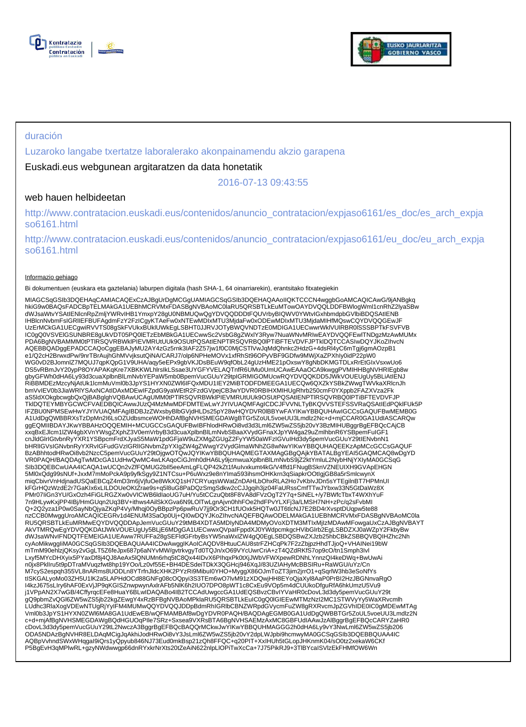



### duración

Luzaroko langabe txertatze laboralerako akonpainamendu akzio garapena

Euskadi.eus webgunean argitaratzen da data honetatik

2016-07-13 09:43:55

### web hauen helbideetan

http://www.contratacion.euskadi.eus/contenidos/anuncio\_contratacion/expjaso6161/es\_doc/es\_arch\_expja so6161.html

http://www.contratacion.euskadi.eus/contenidos/anuncio\_contratacion/expjaso6161/eu\_doc/eu\_arch\_expja so6161.html

### Informazio gehiago

Bi dokumentuen (euskara eta gaztelania) laburpen digitala (hash SHA-1, 64 oinarriarekin), erantsitako fitxategiekin

MIAGCSqGSIb3DQEHAqCAMIACAQExCzAJBgUrDgMCGgUAMIAGCSqGSIb3DQEHAQAAoIIQKTCCCN4wggbGoAMCAQICAwG/9jANBgkq hkiG9w0BAQsFADCBpTELMAkGA1UEBhMCRVMxFDASBgNVBAoMC0laRU5QRSBTLkEuMTowOAYDVQQLDDFBWlogWml1cnRhZ2lyaSBw<br>dWJsaWtvYSAtIENlcnRpZmljYWRvIHB1YmxpY28gU0NBMUQwQgYDVQQDDDtFQUVrbyBIQWV0YWtvIGxhbmdpbGVlbiBDQSAtIENB IHBlcnNvbmFsIGRIIEFBUFAgdmFzY2FzICgyKTAeFw0xNTEwMDIxMTU3MjdaFw0xODEwMDIxMTU3MjdaMIHfMQswCQYDVQQGEwJF<br>UzErMCkGA1UECgwiRVVTS08gSkFVUkxBUklUWkEgLSBHT0JJRVJOTyBWQVNDTzE0MDIGA1UECwwrWklVUIRBR0ISSSBPTkFSVFVB IC0gQ0VSVElGSUNBRE8gUkVDT05PQ0lETzEbMBkGA1UECwwSc2VsbG8gZWxlY3Ryw7NuaWNvMRIwEAYDVQQFEwlTNDgzMzAwMUMx PDA6BgNVBAMMM0tPTlRSQVRBWklPIEVMRUtUUk9OSUtPQSAtIENPTlRSQVRBQ0lPTiBFTEVDVFJPTklDQTCCASIwDQYJKoZIhvcN AQEBBQADggEPADCCAQoCggEBAJyMU2AY4zGz5rnk3IAF2Z57jw1f0C0MjCSTlVwJqMdQhnkc2HdzG+4dsRl4yC6mTgj6gmAOzpB1 e1/Q2cH2BrwxdPw/9nrTBrAujhGhMVvjksutQiNA/CARJ7/olp6NPHeMOVx1xfRhSt96OPyVBF9GDfw9MWjXaZPXhIy0idP22pW0 WG0vD2BJomnlZ7MQUJ7qpKQpG1V9UHA/aqy5eEPx9gbVKJDsBEuW9qfObL24gUzHME21pOxswY8gNbDKMGTDLxRrEtGIxVsxwUo6<br>DS5vRBmJvY20ypP8OYAPAKqKre7XBKKWLhIrsIkLSsae3UYGFYVELAQTnfR6UMu0UmUCAwEAAaOCA9kwggPVMIHHBgNVHRIEgb8w gbyGFWh0dHA6Ly93d3cuaXplbnBlLmNvbYEPaW5mb0BpemVucGUuY29tpIGRMIGOMUcwRQYDVQQKDD5JWkVOUEUgUy5BLiAtIENJ<br>RiBBMDEzMzcyNjAtUk1lcmMuVml0b3JpYS1HYXN0ZWI6IFQxMDU1IEY2MiBTODFDMEEGA1UECQw6QXZkYSBkZWwgTWVkaXRlcnJh bmVvIEV0b3JiaWRlYSAxNCAtIDAxMDEwIFZpdG9yaWEtR2FzdGVpejCB3wYDVR0RBIHXMIHUgRhrb250cmF0YXppb2FAZXVza2Fk aS5ldXOkgbcwgbQxQjBABglghVQBAwUCAgUMM0tPTlRSQVRBWklPIEVMRUtUUk9OSUtPQSAtIENPTlRSQVRBQ0lPTiBFTEVDVFJP TklDQTEYMBYGCWCFVAEDBQICAwwJUzQ4MzMwMDFDMTEwLwYJYIVUAQMFAgICDCJFVVNLTyBKQVVSTEFSSVRaQSAtIEdPQklFUk5P IFZBU0NPMSEwHwYJYIVUAQMFAgIBDBJzZWxsbyBlbGVjdHLDs25pY28wHQYDVR0lBBYwFAYIKwYBBQUHAwIGCCsGAQUFBwMEMB0G A1UdDgQWBBRXsTzDpMn2I6LsOZUdbsmceWOHhDAfBgNVHSMEGDAWgBTGr5ZoUL5voeUU3Lmdlz2Nc+d+mjCCAR0GA1UdIASCARQw<br>ggEQMIIBDAYJKwYBBAHzOQQEMIH+MCUGCCsGAQUFBwIBFhlodHRwOi8vd3d3Lml6ZW5wZS5jb20vY3BzMIHUBggrBgEFBQcCAjCB xxqBxEJlcm1lZW4gbXVnYWsgZXphZ3V0emVrbyB3d3cuaXplbnBlLmNvbSBaaXVydGFnaXJpYW4ga29uZmlhbnR6YSBpemFuIGF1 cnJldGlrIGtvbnRyYXR1YSBpcmFrdXJyaS5MaW1pdGFjaW9uZXMgZGUgZ2FyYW50aWFzIGVuIHd3dy5pemVucGUuY29tIENvbnN1 bHRlIGVsIGNvbnRyYXRvIGFudGVzIGRlIGNvbmZpYXIgZW4gZWwgY2VydGlmaWNhZG8wNwYIKwYBBQUHAQEEKzApMCcGCCsGAQUF BzABhhtodHRwOi8vb2NzcC5pemVucGUuY29tOjgwOTQwJQYIKwYBBQUHAQMEGTAXMAgGBgQAjkYBATALBgYEAI5GAQMCAQ8wDgYD VR0PAQH/BAQDAgTwMDcGA1UdHwQwMC4wLKAqoCiGJmh0dHA6Ly9jcmwuaXplbnBlLmNvbS9jZ2ktYmluL2NybHNjYXIyMA0GCSqG SIb3DQEBCwUAA4ICAQA1wUCQn2vZfFQMUG2bIl5eeAmLgFLQP42kZt1fAuIvxkumt4kG/V4ffd1FNugBSknVZNEUIXH9GVApEHGN 5Ml0xQdg99sNUf+JxxM7mMoPckA9p9yfkSgy9Z1NTCsu+P6uWxz9e8nYIma593ihsmOHKkrn3qSiapkrOOtIgjGB8a5rSmlcwynX miqCbivrVnHdjnadUSQaEBCqZ4mD3m6jVjfuOe8WkXQ1sH7CRYuqsWWatZnDAHLbOhxRLA2Ho7vKbIvJDn5sYTEgilnBT7HPMnUI kFGrHQzWzdE2r7GaKIx6xLILDOUeOKtZrae9s+q5l8uG8PaDQzSmgSdkw2cCJJgqih3jz04FaURssCmfTTwJYbxw33N5GtDaWz8X<br>PMr07IiGn3YU/GxOzh4FiGLRGZXw0vVICWB6ldlaoUG7uH/Yu5tCCzuQbt8F8VA8dFVzOgT2Y7q+SiNEL+/y7BWfcTbxT4WXhYuF 7n9HLywKxjPP4IBj/HmGUqn2Uq3BV+ithws4AilSkXGva6N9LOITwLgnAjvn0hhFOe2hdFPvYLXFj3a/LMSH7NH+zPc/q2sFvbMI<br>Q+2Q2yza1P0w0SayNbQjyaZKqP4Vy/Mhqj0OyBBpzPp6pwRuV7jj9Or3CH1fUOxk5HQTw0JT6tlcNJ7E2BD4rXvsptDUqpw5te88 nzCCB0MwggUroAMCAQICEGRv1d4ENUM3SaOp0Uj+QI0wDQYJKoZIhvcNAQEFBQAwODELMAkGA1UEBhMCRVMxFDASBgNVBAoMC0la RU5QRSBTLkEuMRMwEQYDVQQDDApJemVucGUuY29tMB4XDTA5MDIyNDA4MDMyOVoXDTM3MTIxMjIzMDAwMFowgaUxCzAJBgNVBAYT AkVTMRQwEgYDVQQKDAtJWkVOUEUgUy5BLjE6MDgGA1UECwwxQVpaIFppdXJ0YWdpcmkgcHVibGIrb2EgLSBDZXJ0aWZpY2FkbyBw<br>dWJsaWNvIFNDQTFEMEIGA1UEAww7RUFFa28gSEFIdGFrbyBsYW5naWxlZW4gQ0EgLSBDQSBwZXJzb25hbCBkZSBBQVBQIHZhc2Nh cyAoMikwggIiMA0GCSqGSIb3DQEBAQUAA4ICDwAwggIKAoICAQDV8HtuuCAU8strFZHCqPk7F2zZbjpzHhdTJjoQ+VHAINei19bW<br>mTmM90ehlzjQKsy2vGgLT5Z6feJpx687p6aNYvMW/gvtrkvgyTd0TQJn/xO69VYcUwrCriA+zT4QZdRKfS7op9cO/tn1Smph3Ivl Lxyf5MYcDHXyix5PYaxDf8j4QJ8AeAx5lQNUMn6rhq5tC8Qx44IDvX6PIhqxPk0tXjJWbVFWXpewRDNhLYnnzQI4keDWq+BwUwAi n0jx8PklIru5t9pDTraMVuqzfwt8hp19YOo/Lz0vf55E+BH4DESdeiTDkX3QGHcj946XqJ/83UZIAHyMcBBSIRu+RaWGU/uYz/Cn M7cyS2espqh355VL8nARms8UODLn8YTrfnJldcXHK2PYzRi9MibuI0YHO+MyggX86OJmToZT3jim2jrrO1+qSqrlW3hb3eSoNfYs<br>tISKGALyoMo03ZH5U1IK2a5LAPHdOCd88GNFg08cOQpyi3S3TEm6wO7lvM91zXDQwjHH8EYoQjaXyI8AaP0PrBI2HzJBGNnvaRgO I4kzJ675sLIry6hAF0ExVjJP9qKGISZnwpwynAxIrAFb5NIK6h2IUO7DPO8pWT1c8CxEu9VOp5m4dCUUkoDfguRfA6hkUmzU5Vu9<br>j1VPpAN2X7wGB/4CffyrqcEFe8HuaY6BLwIDAQABo4IB2TCCAdUwgccGA1UdEQSBvzCBvIYVaHR0cDovL3d3dy5pemVucGUuY29t<br>gQ9pbmZvQGI6ZW5wZS5j LUdhc3RlaXogVDEwNTUgRjYyIFM4MUMwQQYDVQQJDDpBdmRhIGRlbCBNZWRpdGVycmFuZW8gRXRvcmJpZGVhIDE0IC0gMDEwMTAg Vml0b3JpYS1HYXN0ZWl6MA8GA1UdEwEB/wQFMAMBAf8wDgYDVR0PAQH/BAQDAgEGMB0GA1UdDgQWBBTGr5ZoUL5voeUU3Lmdlz2N c+d+mjAfBgNVHSMEGDAWgBQdHGUOqPIle7SRz+Sxsea9VXRsBTA6BgNVHSAEMzAxMC8GBFUdIAAwJzAlBggrBgEFBQcCARYZaHR0 cDovL3d3dy5pemVucGUuY29tL2NwczA3BggrBgEFBQcBAQQrMCkwJwYIKwYBBQUHMAGGG2h0dHA6Ly9vY3NwLml6ZW5wZS5jb206 ODA5NDAzBgNVHR8ELDAqMCigJqAkhiJodHRwOi8vY3JsLml6ZW5wZS5jb20vY2dpLWJpbi9hcmwyMA0GCSqGSIb3DQEBBQUAA4IC AQBpVvhndSWxWHqgaI9iQrs1yQpyub846NJ73Eud0mkBsp21zQh8FFQC+q20PIT+XxIHUh5tGLopJHKnmK04/sO0tz2xekaW6CKf<br>P5BgEvH3qMPIwRL+gzyNWdwwgp66dnRYxkrNrXts20tZeAiN622nIpLIOPiTwXcCa+7J75PikRJ9+3TIBYcaISVlzEkFHMfOW6Wn